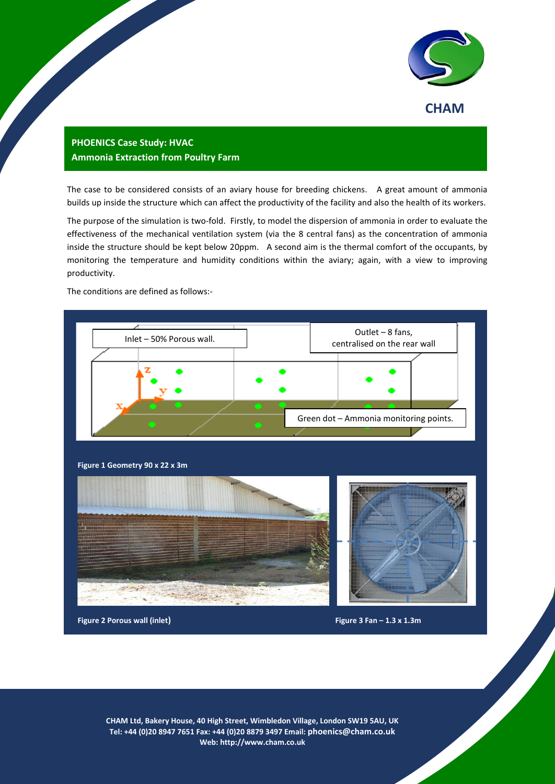

## **PHOENICS Case Study: HVAC Ammonia Extraction from Poultry Farm**

The case to be considered consists of an aviary house for breeding chickens. A great amount of ammonia builds up inside the structure which can affect the productivity of the facility and also the health of its workers.

The purpose of the simulation is two-fold. Firstly, to model the dispersion of ammonia in order to evaluate the effectiveness of the mechanical ventilation system (via the 8 central fans) as the concentration of ammonia inside the structure should be kept below 20ppm. A second aim is the thermal comfort of the occupants, by monitoring the temperature and humidity conditions within the aviary; again, with a view to improving productivity.

The conditions are defined as follows:-



1 **Tel: +44 (0)20 8947 7651 Fax: +44 (0)20 8879 3497 Email: [phoenics@cham.co.uk](mailto:phoenics@cham.co.uk) CHAM Ltd, Bakery House, 40 High Street, Wimbledon Village, London SW19 5AU, UK Web: http://www.cham.co.uk**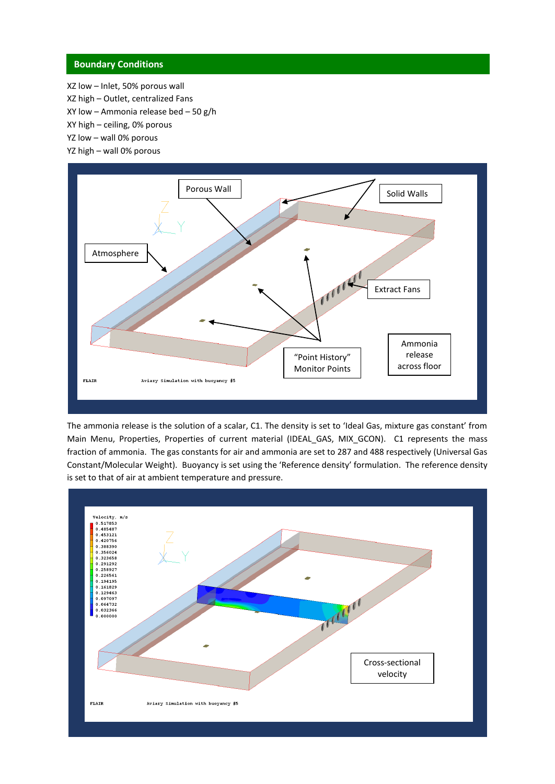## **Boundary Conditions**

XZ low – Inlet, 50% porous wall XZ high – Outlet, centralized Fans

- XY low Ammonia release bed 50 g/h
- XY high ceiling, 0% porous
- YZ low wall 0% porous
- YZ high wall 0% porous



The ammonia release is the solution of a scalar, C1. The density is set to 'Ideal Gas, mixture gas constant' from Main Menu, Properties, Properties of current material (IDEAL\_GAS, MIX\_GCON). C1 represents the mass fraction of ammonia. The gas constants for air and ammonia are set to 287 and 488 respectively (Universal Gas Constant/Molecular Weight). Buoyancy is set using the 'Reference density' formulation. The reference density is set to that of air at ambient temperature and pressure.

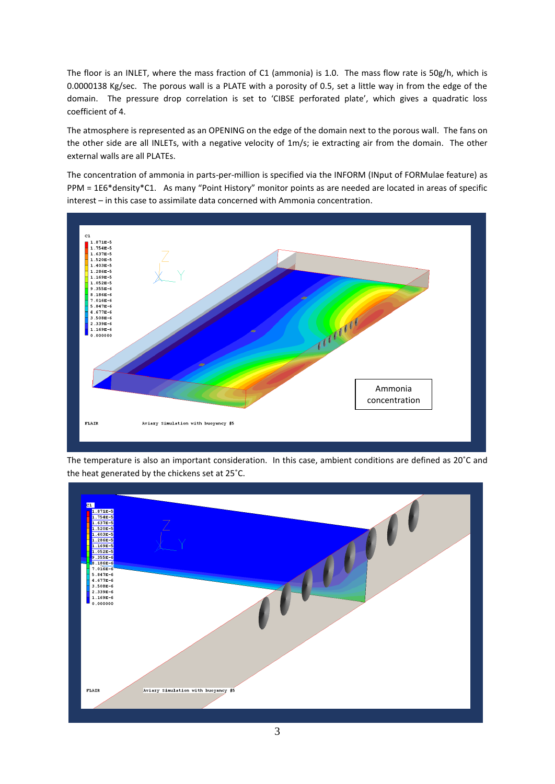The floor is an INLET, where the mass fraction of C1 (ammonia) is 1.0. The mass flow rate is 50g/h, which is 0.0000138 Kg/sec. The porous wall is a PLATE with a porosity of 0.5, set a little way in from the edge of the domain. The pressure drop correlation is set to 'CIBSE perforated plate', which gives a quadratic loss coefficient of 4.

The atmosphere is represented as an OPENING on the edge of the domain next to the porous wall. The fans on the other side are all INLETs, with a negative velocity of 1m/s; ie extracting air from the domain. The other external walls are all PLATEs.

The concentration of ammonia in parts-per-million is specified via the INFORM (INput of FORMulae feature) as PPM = 1E6\*density\*C1. As many "Point History" monitor points as are needed are located in areas of specific interest – in this case to assimilate data concerned with Ammonia concentration.



The temperature is also an important consideration. In this case, ambient conditions are defined as 20˚C and the heat generated by the chickens set at 25˚C.

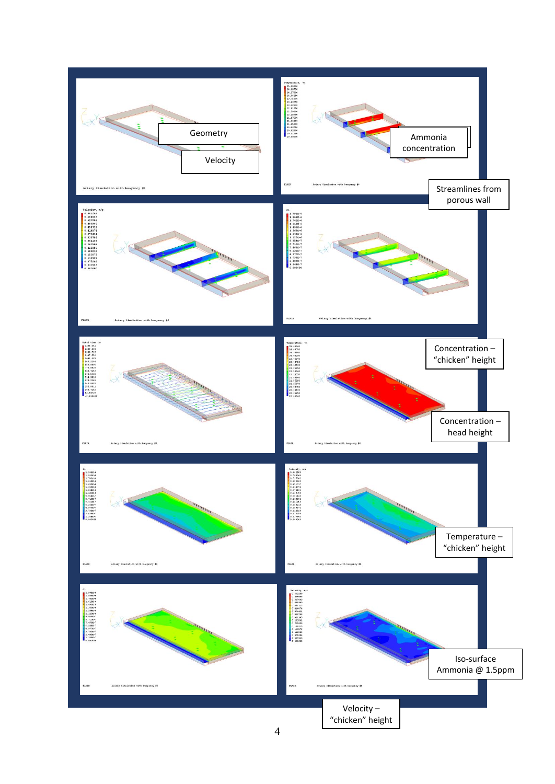